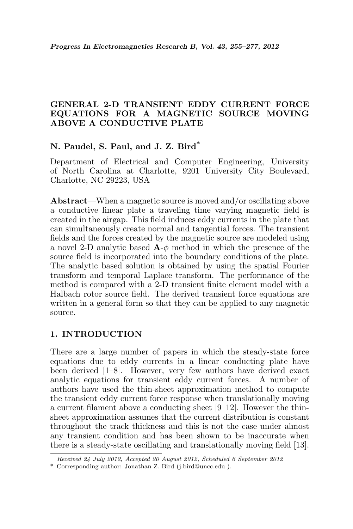## GENERAL 2-D TRANSIENT EDDY CURRENT FORCE EQUATIONS FOR A MAGNETIC SOURCE MOVING ABOVE A CONDUCTIVE PLATE

# N. Paudel, S. Paul, and J. Z. Bird\*

Department of Electrical and Computer Engineering, University of North Carolina at Charlotte, 9201 University City Boulevard, Charlotte, NC 29223, USA

Abstract—When a magnetic source is moved and/or oscillating above a conductive linear plate a traveling time varying magnetic field is created in the airgap. This field induces eddy currents in the plate that can simultaneously create normal and tangential forces. The transient fields and the forces created by the magnetic source are modeled using a novel 2-D analytic based  $\mathbf{A}\text{-}\phi$  method in which the presence of the source field is incorporated into the boundary conditions of the plate. The analytic based solution is obtained by using the spatial Fourier transform and temporal Laplace transform. The performance of the method is compared with a 2-D transient finite element model with a Halbach rotor source field. The derived transient force equations are written in a general form so that they can be applied to any magnetic source.

## 1. INTRODUCTION

There are a large number of papers in which the steady-state force equations due to eddy currents in a linear conducting plate have been derived [1–8]. However, very few authors have derived exact analytic equations for transient eddy current forces. A number of authors have used the thin-sheet approximation method to compute the transient eddy current force response when translationally moving a current filament above a conducting sheet [9–12]. However the thinsheet approximation assumes that the current distribution is constant throughout the track thickness and this is not the case under almost any transient condition and has been shown to be inaccurate when there is a steady-state oscillating and translationally moving field [13].

Received 24 July 2012, Accepted 20 August 2012, Scheduled 6 September 2012

<sup>\*</sup> Corresponding author: Jonathan Z. Bird (j.bird@uncc.edu ).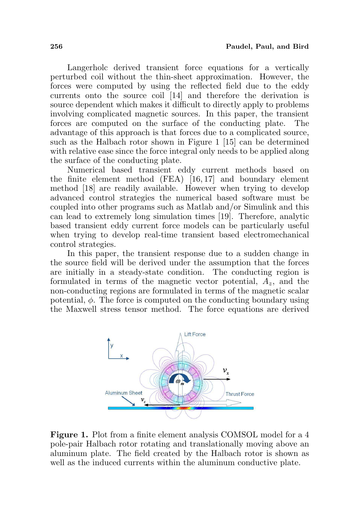Langerholc derived transient force equations for a vertically perturbed coil without the thin-sheet approximation. However, the forces were computed by using the reflected field due to the eddy currents onto the source coil [14] and therefore the derivation is source dependent which makes it difficult to directly apply to problems involving complicated magnetic sources. In this paper, the transient forces are computed on the surface of the conducting plate. The advantage of this approach is that forces due to a complicated source, such as the Halbach rotor shown in Figure 1 [15] can be determined with relative ease since the force integral only needs to be applied along the surface of the conducting plate.

Numerical based transient eddy current methods based on the finite element method (FEA) [16, 17] and boundary element method [18] are readily available. However when trying to develop advanced control strategies the numerical based software must be coupled into other programs such as Matlab and/or Simulink and this can lead to extremely long simulation times [19]. Therefore, analytic based transient eddy current force models can be particularly useful when trying to develop real-time transient based electromechanical control strategies.

In this paper, the transient response due to a sudden change in the source field will be derived under the assumption that the forces are initially in a steady-state condition. The conducting region is formulated in terms of the magnetic vector potential,  $A_z$ , and the non-conducting regions are formulated in terms of the magnetic scalar potential,  $\phi$ . The force is computed on the conducting boundary using the Maxwell stress tensor method. The force equations are derived



Figure 1. Plot from a finite element analysis COMSOL model for a 4 pole-pair Halbach rotor rotating and translationally moving above an aluminum plate. The field created by the Halbach rotor is shown as well as the induced currents within the aluminum conductive plate.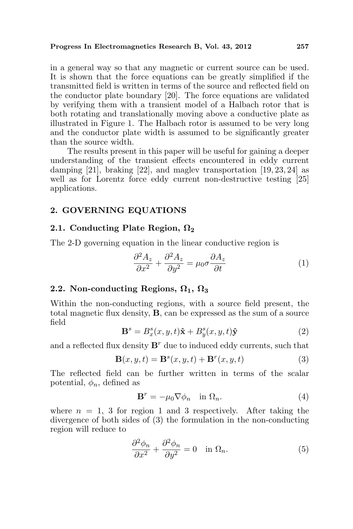in a general way so that any magnetic or current source can be used. It is shown that the force equations can be greatly simplified if the transmitted field is written in terms of the source and reflected field on the conductor plate boundary [20]. The force equations are validated by verifying them with a transient model of a Halbach rotor that is both rotating and translationally moving above a conductive plate as illustrated in Figure 1. The Halbach rotor is assumed to be very long and the conductor plate width is assumed to be significantly greater than the source width.

The results present in this paper will be useful for gaining a deeper understanding of the transient effects encountered in eddy current damping [21], braking [22], and maglev transportation [19, 23, 24] as well as for Lorentz force eddy current non-destructive testing [25] applications.

## 2. GOVERNING EQUATIONS

#### 2.1. Conducting Plate Region,  $\Omega_2$

The 2-D governing equation in the linear conductive region is

$$
\frac{\partial^2 A_z}{\partial x^2} + \frac{\partial^2 A_z}{\partial y^2} = \mu_0 \sigma \frac{\partial A_z}{\partial t}
$$
 (1)

## 2.2. Non-conducting Regions,  $\Omega_1$ ,  $\Omega_3$

Within the non-conducting regions, with a source field present, the total magnetic flux density, B, can be expressed as the sum of a source field

$$
\mathbf{B}^s = B_x^s(x, y, t)\hat{\mathbf{x}} + B_y^s(x, y, t)\hat{\mathbf{y}} \tag{2}
$$

and a reflected flux density  $\mathbf{B}^r$  due to induced eddy currents, such that

$$
\mathbf{B}(x, y, t) = \mathbf{B}^s(x, y, t) + \mathbf{B}^r(x, y, t)
$$
\n(3)

The reflected field can be further written in terms of the scalar potential,  $\phi_n$ , defined as

$$
\mathbf{B}^r = -\mu_0 \nabla \phi_n \quad \text{in } \Omega_n. \tag{4}
$$

where  $n = 1, 3$  for region 1 and 3 respectively. After taking the divergence of both sides of (3) the formulation in the non-conducting region will reduce to

$$
\frac{\partial^2 \phi_n}{\partial x^2} + \frac{\partial^2 \phi_n}{\partial y^2} = 0 \quad \text{in } \Omega_n. \tag{5}
$$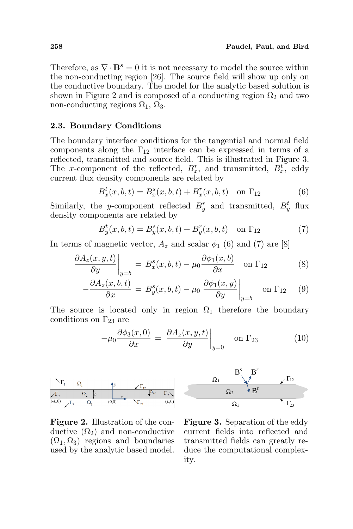Therefore, as  $\nabla \cdot \mathbf{B}^s = 0$  it is not necessary to model the source within the non-conducting region [26]. The source field will show up only on the conductive boundary. The model for the analytic based solution is shown in Figure 2 and is composed of a conducting region  $\Omega_2$  and two non-conducting regions  $\Omega_1$ ,  $\Omega_3$ .

#### 2.3. Boundary Conditions

The boundary interface conditions for the tangential and normal field components along the  $\Gamma_{12}$  interface can be expressed in terms of a reflected, transmitted and source field. This is illustrated in Figure 3. The x-component of the reflected,  $B_x^r$ , and transmitted,  $B_x^t$ , eddy current flux density components are related by

$$
B_x^t(x, b, t) = B_x^s(x, b, t) + B_x^r(x, b, t) \quad \text{on } \Gamma_{12}
$$
 (6)

Similarly, the y-component reflected  $B_y^r$  and transmitted,  $B_y^t$  flux density components are related by

$$
B_y^t(x, b, t) = B_y^s(x, b, t) + B_y^r(x, b, t) \quad \text{on } \Gamma_{12}
$$
 (7)

In terms of magnetic vector,  $A_z$  and scalar  $\phi_1$  (6) and (7) are [8]  $\overline{a}$ 

$$
\left. \frac{\partial A_z(x, y, t)}{\partial y} \right|_{y=b} = B_x^s(x, b, t) - \mu_0 \frac{\partial \phi_1(x, b)}{\partial x} \quad \text{on } \Gamma_{12} \tag{8}
$$

$$
-\frac{\partial A_z(x,b,t)}{\partial x} = B_y^s(x,b,t) - \mu_0 \left. \frac{\partial \phi_1(x,y)}{\partial y} \right|_{y=b} \quad \text{on } \Gamma_{12} \quad (9)
$$

The source is located only in region  $\Omega_1$  therefore the boundary conditions on  $\Gamma_{23}$  are  $\overline{a}$ 

$$
-\mu_0 \frac{\partial \phi_3(x,0)}{\partial x} = \left. \frac{\partial A_z(x,y,t)}{\partial y} \right|_{y=0} \quad \text{on } \Gamma_{23} \tag{10}
$$







Figure 3. Separation of the eddy current fields into reflected and transmitted fields can greatly reduce the computational complexity.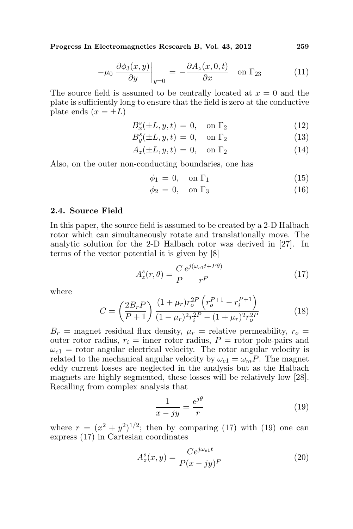$$
-\mu_0 \left. \frac{\partial \phi_3(x, y)}{\partial y} \right|_{y=0} = -\frac{\partial A_z(x, 0, t)}{\partial x} \quad \text{on } \Gamma_{23} \tag{11}
$$

The source field is assumed to be centrally located at  $x = 0$  and the plate is sufficiently long to ensure that the field is zero at the conductive plate ends  $(x = \pm L)$ 

$$
B_x^s(\pm L, y, t) = 0, \quad \text{on } \Gamma_2 \tag{12}
$$

$$
B_y^s(\pm L, y, t) = 0, \quad \text{on } \Gamma_2 \tag{13}
$$

$$
A_z(\pm L, y, t) = 0, \quad \text{on } \Gamma_2 \tag{14}
$$

Also, on the outer non-conducting boundaries, one has

$$
\phi_1 = 0, \quad \text{on } \Gamma_1 \tag{15}
$$

$$
\phi_2 = 0, \quad \text{on } \Gamma_3 \tag{16}
$$

#### 2.4. Source Field

In this paper, the source field is assumed to be created by a 2-D Halbach rotor which can simultaneously rotate and translationally move. The analytic solution for the 2-D Halbach rotor was derived in [27]. In terms of the vector potential it is given by [8]

$$
A_z^s(r,\theta) = \frac{C}{P} \frac{e^{j(\omega_{e1}t + P\theta)}}{r^P}
$$
 (17)

where

$$
C = \left(\frac{2B_r P}{P+1}\right) \frac{(1+\mu_r)r_o^{2P}\left(r_o^{P+1} - r_i^{P+1}\right)}{(1-\mu_r)^2 r_i^{2P} - (1+\mu_r)^2 r_o^{2P}}
$$
(18)

 $B_r$  = magnet residual flux density,  $\mu_r$  = relative permeability,  $r_o$  = outer rotor radius,  $r_i =$  inner rotor radius,  $P =$  rotor pole-pairs and  $\omega_{e1}$  = rotor angular electrical velocity. The rotor angular velocity is related to the mechanical angular velocity by  $\omega_{e1} = \omega_m P$ . The magnet eddy current losses are neglected in the analysis but as the Halbach magnets are highly segmented, these losses will be relatively low [28]. Recalling from complex analysis that

$$
\frac{1}{x - jy} = \frac{e^{j\theta}}{r}
$$
 (19)

where  $r = (x^2 + y^2)^{1/2}$ ; then by comparing (17) with (19) one can express (17) in Cartesian coordinates

$$
A_z^s(x,y) = \frac{Ce^{j\omega_{e1}t}}{P(x - jy)^P}
$$
\n(20)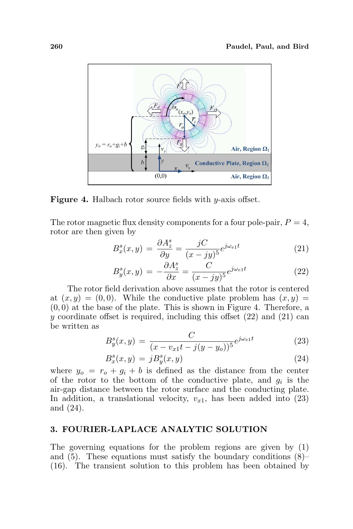

Figure 4. Halbach rotor source fields with y-axis offset.

The rotor magnetic flux density components for a four pole-pair,  $P = 4$ , rotor are then given by

$$
B_x^s(x,y) = \frac{\partial A_z^s}{\partial y} = \frac{jC}{(x - jy)^5} e^{j\omega_{e1}t}
$$
\n(21)

$$
B_y^s(x,y) = -\frac{\partial A_z^s}{\partial x} = \frac{C}{(x - jy)^5} e^{j\omega_{e1}t}
$$
\n(22)

The rotor field derivation above assumes that the rotor is centered at  $(x, y) = (0, 0)$ . While the conductive plate problem has  $(x, y) =$  $(0, 0)$  at the base of the plate. This is shown in Figure 4. Therefore, a y coordinate offset is required, including this offset  $(22)$  and  $(21)$  can be written as

$$
B_y^s(x,y) = \frac{C}{(x - v_{x1}t - j(y - y_o))^{5}} e^{j\omega_{e1}t}
$$
 (23)

$$
B_x^s(x, y) = jB_y^s(x, y)
$$
\n<sup>(24)</sup>

where  $y_o = r_o + g_i + b$  is defined as the distance from the center of the rotor to the bottom of the conductive plate, and  $g_i$  is the air-gap distance between the rotor surface and the conducting plate. In addition, a translational velocity,  $v_{x1}$ , has been added into (23) and (24).

## 3. FOURIER-LAPLACE ANALYTIC SOLUTION

The governing equations for the problem regions are given by (1) and  $(5)$ . These equations must satisfy the boundary conditions  $(8)$ – (16). The transient solution to this problem has been obtained by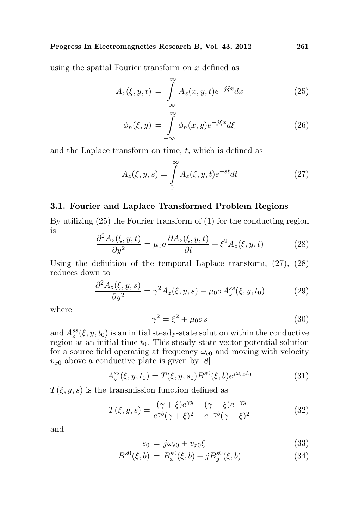using the spatial Fourier transform on x defined as

$$
A_z(\xi, y, t) = \int_{-\infty}^{\infty} A_z(x, y, t) e^{-j\xi x} dx \qquad (25)
$$

$$
\phi_n(\xi, y) = \int_{-\infty}^{\infty} \phi_n(x, y) e^{-j\xi x} d\xi \tag{26}
$$

and the Laplace transform on time,  $t$ , which is defined as

$$
A_z(\xi, y, s) = \int_0^\infty A_z(\xi, y, t)e^{-st}dt
$$
 (27)

### 3.1. Fourier and Laplace Transformed Problem Regions

By utilizing (25) the Fourier transform of (1) for the conducting region is

$$
\frac{\partial^2 A_z(\xi, y, t)}{\partial y^2} = \mu_0 \sigma \frac{\partial A_z(\xi, y, t)}{\partial t} + \xi^2 A_z(\xi, y, t)
$$
(28)

Using the definition of the temporal Laplace transform, (27), (28) reduces down to

$$
\frac{\partial^2 A_z(\xi, y, s)}{\partial y^2} = \gamma^2 A_z(\xi, y, s) - \mu_0 \sigma A_z^{ss}(\xi, y, t_0)
$$
(29)

where

$$
\gamma^2 = \xi^2 + \mu_0 \sigma s \tag{30}
$$

and  $A_z^{ss}(\xi, y, t_0)$  is an initial steady-state solution within the conductive region at an initial time  $t_0$ . This steady-state vector potential solution for a source field operating at frequency  $\omega_{e0}$  and moving with velocity  $v_{x0}$  above a conductive plate is given by [8]

$$
A_z^{ss}(\xi, y, t_0) = T(\xi, y, s_0) B^{s0}(\xi, b) e^{j\omega_{e0}t_0}
$$
\n(31)

 $T(\xi, y, s)$  is the transmission function defined as

$$
T(\xi, y, s) = \frac{(\gamma + \xi)e^{\gamma y} + (\gamma - \xi)e^{-\gamma y}}{e^{\gamma b}(\gamma + \xi)^2 - e^{-\gamma b}(\gamma - \xi)^2}
$$
(32)

and

$$
s_0 = j\omega_{e0} + v_{x0}\xi \tag{33}
$$

$$
B^{s0}(\xi, b) = B_x^{s0}(\xi, b) + jB_y^{s0}(\xi, b)
$$
\n(34)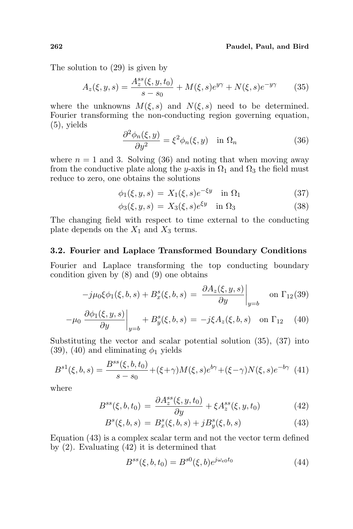The solution to (29) is given by

$$
A_z(\xi, y, s) = \frac{A_z^{ss}(\xi, y, t_0)}{s - s_0} + M(\xi, s)e^{y\gamma} + N(\xi, s)e^{-y\gamma}
$$
 (35)

where the unknowns  $M(\xi, s)$  and  $N(\xi, s)$  need to be determined. Fourier transforming the non-conducting region governing equation,  $(5)$ , yields

$$
\frac{\partial^2 \phi_n(\xi, y)}{\partial y^2} = \xi^2 \phi_n(\xi, y) \quad \text{in } \Omega_n \tag{36}
$$

where  $n = 1$  and 3. Solving (36) and noting that when moving away from the conductive plate along the y-axis in  $\Omega_1$  and  $\Omega_3$  the field must reduce to zero, one obtains the solutions

$$
\phi_1(\xi, y, s) = X_1(\xi, s)e^{-\xi y} \quad \text{in } \Omega_1 \tag{37}
$$

$$
\phi_3(\xi, y, s) = X_3(\xi, s)e^{\xi y} \quad \text{in } \Omega_3 \tag{38}
$$

The changing field with respect to time external to the conducting plate depends on the  $X_1$  and  $X_3$  terms.

#### 3.2. Fourier and Laplace Transformed Boundary Conditions

Fourier and Laplace transforming the top conducting boundary condition given by (8) and (9) one obtains

$$
-j\mu_0 \xi \phi_1(\xi, b, s) + B_x^s(\xi, b, s) = \left. \frac{\partial A_z(\xi, y, s)}{\partial y} \right|_{y=b} \quad \text{on } \Gamma_{12}(39)
$$

$$
-\mu_0 \left. \frac{\partial \phi_1(\xi, y, s)}{\partial y} \right|_{y=b} + B_y^s(\xi, b, s) = -j\xi A_z(\xi, b, s) \quad \text{on } \Gamma_{12} \quad (40)
$$

Substituting the vector and scalar potential solution (35), (37) into (39), (40) and eliminating  $\phi_1$  yields

$$
B^{s1}(\xi, b, s) = \frac{B^{ss}(\xi, b, t_0)}{s - s_0} + (\xi + \gamma)M(\xi, s)e^{b\gamma} + (\xi - \gamma)N(\xi, s)e^{-b\gamma}
$$
(41)

where

$$
B^{ss}(\xi, b, t_0) = \frac{\partial A_z^{ss}(\xi, y, t_0)}{\partial y} + \xi A_z^{ss}(\xi, y, t_0)
$$
(42)

$$
B^{s}(\xi, b, s) = B^{s}_{x}(\xi, b, s) + jB^{s}_{y}(\xi, b, s)
$$
\n(43)

Equation (43) is a complex scalar term and not the vector term defined by (2). Evaluating (42) it is determined that

$$
B^{ss}(\xi, b, t_0) = B^{s0}(\xi, b)e^{j\omega_{e0}t_0}
$$
\n(44)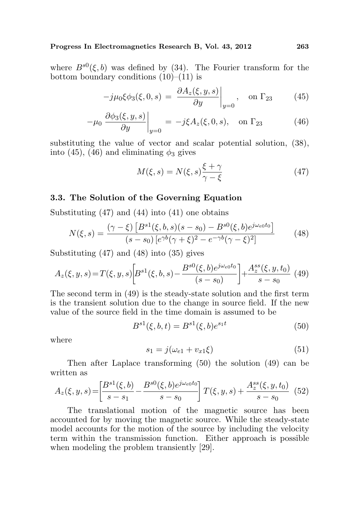where  $B^{s0}(\xi, b)$  was defined by (34). The Fourier transform for the bottom boundary conditions  $(10)$ – $(11)$  is ¯

$$
-j\mu_0\xi\phi_3(\xi,0,s) = \left. \frac{\partial A_z(\xi,y,s)}{\partial y} \right|_{y=0}, \quad \text{on } \Gamma_{23} \tag{45}
$$

$$
-\mu_0 \left. \frac{\partial \phi_3(\xi, y, s)}{\partial y} \right|_{y=0} = -j\xi A_z(\xi, 0, s), \quad \text{on } \Gamma_{23} \tag{46}
$$

substituting the value of vector and scalar potential solution, (38), into (45), (46) and eliminating  $\phi_3$  gives

$$
M(\xi, s) = N(\xi, s) \frac{\xi + \gamma}{\gamma - \xi} \tag{47}
$$

#### 3.3. The Solution of the Governing Equation

Substituting (47) and (44) into (41) one obtains

$$
N(\xi, s) = \frac{(\gamma - \xi) \left[ B^{s1}(\xi, b, s)(s - s_0) - B^{s0}(\xi, b)e^{j\omega_{c0}t_0} \right]}{(s - s_0) \left[ e^{\gamma b}(\gamma + \xi)^2 - e^{-\gamma b}(\gamma - \xi)^2 \right]}
$$
(48)

Substituting (47) and (48) into (35) gives

$$
A_z(\xi, y, s) = T(\xi, y, s) \bigg[ B^{s1}(\xi, b, s) - \frac{B^{s0}(\xi, b)e^{j\omega_c 0 t_0}}{(s - s_0)} \bigg] + \frac{A_z^{ss}(\xi, y, t_0)}{s - s_0} \tag{49}
$$

The second term in (49) is the steady-state solution and the first term is the transient solution due to the change in source field. If the new value of the source field in the time domain is assumed to be

$$
B^{s1}(\xi, b, t) = B^{s1}(\xi, b)e^{s_1t}
$$
\n(50)

where

$$
s_1 = j(\omega_{e1} + v_{x1}\xi) \tag{51}
$$

Then after Laplace transforming (50) the solution (49) can be written as

$$
A_z(\xi, y, s) = \left[\frac{B^{s1}(\xi, b)}{s - s_1} - \frac{B^{s0}(\xi, b)e^{j\omega_{e0}t_0}}{s - s_0}\right]T(\xi, y, s) + \frac{A_z^{ss}(\xi, y, t_0)}{s - s_0} \tag{52}
$$

The translational motion of the magnetic source has been accounted for by moving the magnetic source. While the steady-state model accounts for the motion of the source by including the velocity term within the transmission function. Either approach is possible when modeling the problem transiently [29].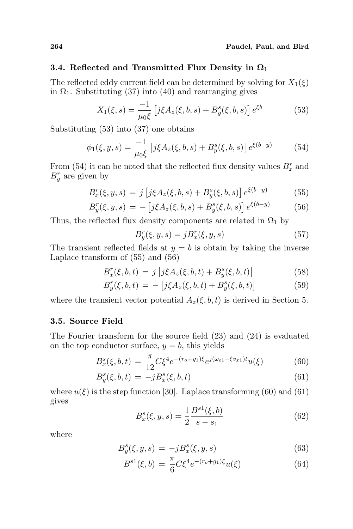#### 3.4. Reflected and Transmitted Flux Density in  $\Omega_1$

The reflected eddy current field can be determined by solving for  $X_1(\xi)$ in  $\Omega_1$ . Substituting (37) into (40) and rearranging gives

$$
X_1(\xi, s) = \frac{-1}{\mu_0 \xi} \left[ j \xi A_z(\xi, b, s) + B_y^s(\xi, b, s) \right] e^{\xi b}
$$
(53)

Substituting (53) into (37) one obtains

$$
\phi_1(\xi, y, s) = \frac{-1}{\mu_0 \xi} \left[ j \xi A_z(\xi, b, s) + B_y^s(\xi, b, s) \right] e^{\xi(b-y)} \tag{54}
$$

From (54) it can be noted that the reflected flux density values  $B_x^r$  and  $B_y^r$  are given by

$$
B_x^r(\xi, y, s) = j \left[ j\xi A_z(\xi, b, s) + B_y^s(\xi, b, s) \right] e^{\xi(b-y)} \tag{55}
$$

$$
B_y^r(\xi, y, s) = -\left[j\xi A_z(\xi, b, s) + B_y^s(\xi, b, s)\right]e^{\xi(b-y)}\tag{56}
$$

Thus, the reflected flux density components are related in  $\Omega_1$  by

$$
B_y^r(\xi, y, s) = jB_x^r(\xi, y, s)
$$
\n
$$
(57)
$$

The transient reflected fields at  $y = b$  is obtain by taking the inverse Laplace transform of (55) and (56)

$$
B_x^r(\xi, b, t) = j \left[ j\xi A_z(\xi, b, t) + B_y^s(\xi, b, t) \right]
$$
(58)

$$
B_y^r(\xi, b, t) = -[j\xi A_z(\xi, b, t) + B_y^s(\xi, b, t)]
$$
\n(59)

where the transient vector potential  $A_z(\xi, b, t)$  is derived in Section 5.

### 3.5. Source Field

The Fourier transform for the source field (23) and (24) is evaluated on the top conductor surface,  $y = b$ , this yields

$$
B_x^s(\xi, b, t) = \frac{\pi}{12} C \xi^4 e^{-(r_o + g_1)\xi} e^{j(\omega_{e1} - \xi v_{x1})t} u(\xi)
$$
(60)

$$
B_y^s(\xi, b, t) = -jB_x^s(\xi, b, t)
$$
\n(61)

where  $u(\xi)$  is the step function [30]. Laplace transforming (60) and (61) gives

$$
B_x^s(\xi, y, s) = \frac{1}{2} \frac{B^{s1}(\xi, b)}{s - s_1}
$$
\n(62)

where

$$
B_y^s(\xi, y, s) = -jB_x^s(\xi, y, s)
$$
\n(63)

$$
B^{s1}(\xi, b) = \frac{\pi}{6} C \xi^4 e^{-(r_o + g_1)\xi} u(\xi)
$$
 (64)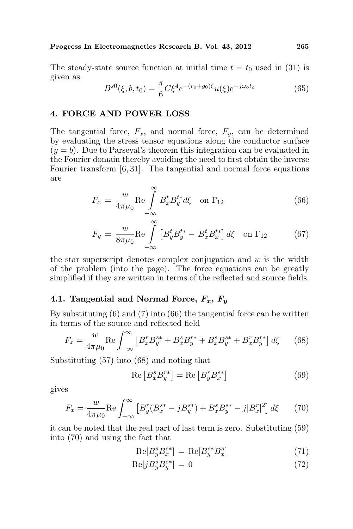The steady-state source function at initial time  $t = t_0$  used in (31) is given as

$$
B^{s0}(\xi, b, t_0) = \frac{\pi}{6} C \xi^4 e^{-(r_o + g_0)\xi} u(\xi) e^{-j\omega_o t_o}
$$
 (65)

## 4. FORCE AND POWER LOSS

The tangential force,  $F_x$ , and normal force,  $F_y$ , can be determined by evaluating the stress tensor equations along the conductor surface  $(y = b)$ . Due to Parseval's theorem this integration can be evaluated in the Fourier domain thereby avoiding the need to first obtain the inverse Fourier transform [6, 31]. The tangential and normal force equations are

$$
F_x = \frac{w}{4\pi\mu_0} \text{Re} \int\limits_{-\infty}^{\infty} B_x^t B_y^{t*} d\xi \quad \text{on } \Gamma_{12} \tag{66}
$$

$$
F_y = \frac{w}{8\pi\mu_0} \text{Re} \int\limits_{-\infty}^{\infty} \left[ B_y^t B_y^{t*} - B_x^t B_x^{t*} \right] d\xi \quad \text{on } \Gamma_{12} \tag{67}
$$

the star superscript denotes complex conjugation and  $w$  is the width of the problem (into the page). The force equations can be greatly simplified if they are written in terms of the reflected and source fields.

#### 4.1. Tangential and Normal Force,  $F_x, F_y$

By substituting  $(6)$  and  $(7)$  into  $(66)$  the tangential force can be written in terms of the source and reflected field

$$
F_x = \frac{w}{4\pi\mu_0} \text{Re} \int_{-\infty}^{\infty} \left[ B_x^r B_y^{s*} + B_x^s B_y^{r*} + B_x^s B_y^{s*} + B_x^r B_y^{r*} \right] d\xi \tag{68}
$$

Substituting (57) into (68) and noting that

$$
\operatorname{Re}\left[B_x^s B_y^{r*}\right] = \operatorname{Re}\left[B_y^r B_x^{s*}\right] \tag{69}
$$

gives

$$
F_x = \frac{w}{4\pi\mu_0} \text{Re} \int_{-\infty}^{\infty} \left[ B_y^r (B_x^{s*} - jB_y^{s*}) + B_x^s B_y^{s*} - j|B_x^r|^2 \right] d\xi \tag{70}
$$

it can be noted that the real part of last term is zero. Substituting (59) into (70) and using the fact that

$$
\operatorname{Re}[B_y^s B_x^{s*}] = \operatorname{Re}[B_y^{s*} B_x^s]
$$
\n<sup>(71)</sup>

$$
\text{Re}[jB_y^s B_y^{s*}] = 0\tag{72}
$$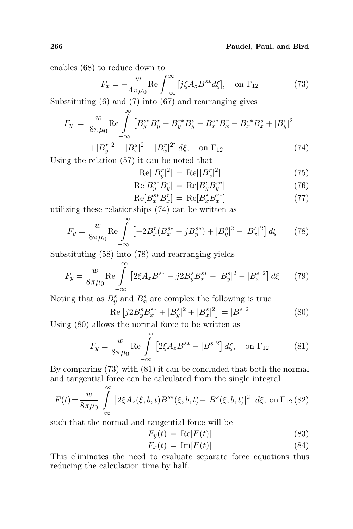#### 266 Paudel, Paul, and Bird

enables (68) to reduce down to

$$
F_x = -\frac{w}{4\pi\mu_0} \text{Re} \int_{-\infty}^{\infty} [j\xi A_z B^{s*} d\xi], \text{ on } \Gamma_{12}
$$
 (73)

Substituting (6) and (7) into (67) and rearranging gives

$$
F_y = \frac{w}{8\pi\mu_0} \text{Re} \int_{-\infty}^{\infty} \left[ B_y^{s*} B_y^r + B_y^{r*} B_y^s - B_x^{s*} B_x^r - B_x^{r*} B_x^s + |B_y^s|^2 \right]
$$
  

$$
+ |B_x^{r}|^2 - |B_x^{s}|^2 - |B_x^{r}|^2| \, d\zeta \quad \text{on } \Gamma.
$$
 (74)

$$
+|B_y^r|^2 - |B_x^s|^2 - |B_x^r|^2] d\xi, \text{ on } \Gamma_{12}
$$
\n(74)

\nrelation (57) it can be noted that

Using the relation (57) it can be noted that

$$
Re[|B_y^r|^2] = Re[|B_x^r|^2]
$$
\n(75)

$$
\operatorname{Re}[B_y^{s*}B_y^r] = \operatorname{Re}[B_y^s B_y^{r*}] \tag{76}
$$

$$
\operatorname{Re}[B_x^{s*} B_x^r] = \operatorname{Re}[B_x^s B_x^{r*}] \tag{77}
$$

utilizing these relationships (74) can be written as

$$
F_y = \frac{w}{8\pi\mu_0} \text{Re} \int_{-\infty}^{\infty} \left[ -2B_x^r (B_x^{s*} - jB_y^{s*}) + |B_y^s|^2 - |B_x^s|^2 \right] d\xi \tag{78}
$$

Substituting (58) into (78) and rearranging yields

$$
F_y = \frac{w}{8\pi\mu_0} \text{Re} \int_{-\infty}^{\infty} \left[ 2\xi A_z B^{s*} - j2B_y^s B_x^{s*} - |B_y^s|^2 - |B_x^s|^2 \right] d\xi \tag{79}
$$

Noting that as  $B_y^s$  and  $B_x^s$  are complex the following is true

$$
\text{Re}\left[j2B_y^s B_x^{s*} + |B_y^s|^2 + |B_x^s|^2\right] = |B^s|^2\tag{80}
$$

Using (80) allows the normal force to be written as

$$
F_y = \frac{w}{8\pi\mu_0} \text{Re} \int_{-\infty}^{\infty} \left[ 2\xi A_z B^{s*} - |B^s|^2 \right] d\xi, \text{ on } \Gamma_{12} \tag{81}
$$

By comparing (73) with (81) it can be concluded that both the normal and tangential force can be calculated from the single integral

$$
F(t) = \frac{w}{8\pi\mu_0} \int_{-\infty}^{\infty} \left[ 2\xi A_z(\xi, b, t) B^{s*}(\xi, b, t) - |B^s(\xi, b, t)|^2 \right] d\xi, \text{ on } \Gamma_{12} (82)
$$

such that the normal and tangential force will be

$$
F_y(t) = \text{Re}[F(t)] \tag{83}
$$

$$
F_x(t) = \text{Im}[F(t)] \tag{84}
$$

This eliminates the need to evaluate separate force equations thus reducing the calculation time by half.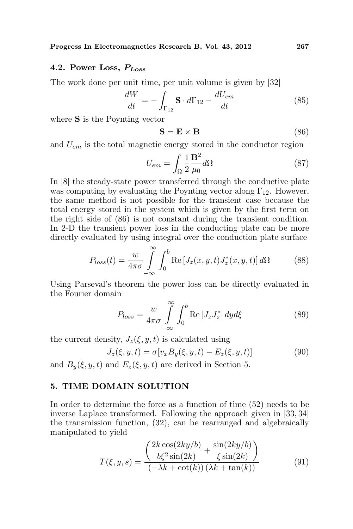# 4.2. Power Loss,  $P_{Loss}$

The work done per unit time, per unit volume is given by [32]

$$
\frac{dW}{dt} = -\int_{\Gamma_{12}} \mathbf{S} \cdot d\Gamma_{12} - \frac{dU_{em}}{dt} \tag{85}
$$

where S is the Poynting vector

$$
\mathbf{S} = \mathbf{E} \times \mathbf{B} \tag{86}
$$

and  $U_{em}$  is the total magnetic energy stored in the conductor region

$$
U_{em} = \int_{\Omega} \frac{1}{2} \frac{\mathbf{B}^2}{\mu_0} d\Omega \tag{87}
$$

In [8] the steady-state power transferred through the conductive plate was computing by evaluating the Poynting vector along  $\Gamma_{12}$ . However, the same method is not possible for the transient case because the total energy stored in the system which is given by the first term on the right side of (86) is not constant during the transient condition. In 2-D the transient power loss in the conducting plate can be more directly evaluated by using integral over the conduction plate surface

$$
P_{loss}(t) = \frac{w}{4\pi\sigma} \int_{-\infty}^{\infty} \int_{0}^{b} \text{Re}\left[J_z(x, y, t) J_z^*(x, y, t)\right] d\Omega \tag{88}
$$

Using Parseval's theorem the power loss can be directly evaluated in the Fourier domain

$$
P_{loss} = \frac{w}{4\pi\sigma} \int_{-\infty}^{\infty} \int_{0}^{b} \text{Re}\left[J_{z}J_{z}^{*}\right] dy d\xi \tag{89}
$$

the current density,  $J_z(\xi, y, t)$  is calculated using

$$
J_z(\xi, y, t) = \sigma[v_x B_y(\xi, y, t) - E_z(\xi, y, t)] \tag{90}
$$

and  $B_y(\xi, y, t)$  and  $E_z(\xi, y, t)$  are derived in Section 5.

## 5. TIME DOMAIN SOLUTION

In order to determine the force as a function of time (52) needs to be inverse Laplace transformed. Following the approach given in [33, 34] the transmission function, (32), can be rearranged and algebraically manipulated to yield  $\overline{a}$  $\mathbf{r}$ 

$$
T(\xi, y, s) = \frac{\left(\frac{2k\cos(2ky/b)}{b\xi^2\sin(2k)} + \frac{\sin(2ky/b)}{\xi\sin(2k)}\right)}{(-\lambda k + \cot(k))(\lambda k + \tan(k))}
$$
(91)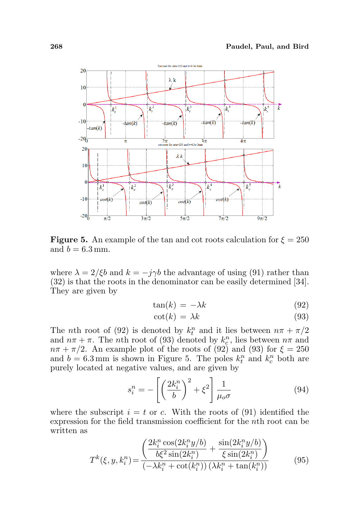

**Figure 5.** An example of the tan and cot roots calculation for  $\xi = 250$ and  $b = 6.3$  mm.

where  $\lambda = 2/\xi b$  and  $k = -j\gamma b$  the advantage of using (91) rather than (32) is that the roots in the denominator can be easily determined [34]. They are given by

$$
\tan(k) = -\lambda k \tag{92}
$$

$$
\cot(k) = \lambda k \tag{93}
$$

The *n*th root of (92) is denoted by  $k_t^n$  and it lies between  $n\pi + \pi/2$ and  $n\pi + \pi$ . The *n*th root of (93) denoted by  $k_c^n$ , lies between  $n\pi$  and  $n\pi + \pi/2$ . An example plot of the roots of (92) and (93) for  $\xi = 250$ and  $b = 6.3$  mm is shown in Figure 5. The poles  $k_t^n$  and  $k_c^n$  both are purely located at negative values, and are given by

$$
s_i^n = -\left[\left(\frac{2k_i^n}{b}\right)^2 + \xi^2\right] \frac{1}{\mu_o \sigma} \tag{94}
$$

where the subscript  $i = t$  or c. With the roots of (91) identified the expression for the field transmission coefficient for the nth root can be written as  $\overline{a}$  $\mathbf{r}$ 

$$
T^{k}(\xi, y, k_{i}^{n}) = \frac{\left(\frac{2k_{i}^{n} \cos(2k_{i}^{n} y/b)}{b\xi^{2} \sin(2k_{i}^{n})} + \frac{\sin(2k_{i}^{n} y/b)}{\xi \sin(2k_{i}^{n})}\right)}{\left(-\lambda k_{i}^{n} + \cot(k_{i}^{n})\right)(\lambda k_{i}^{n} + \tan(k_{i}^{n}))}
$$
(95)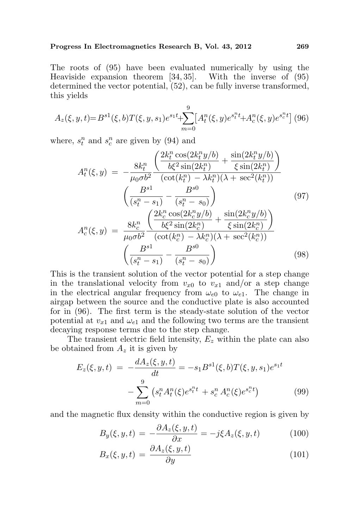The roots of (95) have been evaluated numerically by using the Heaviside expansion theorem [34, 35]. With the inverse of (95) determined the vector potential, (52), can be fully inverse transformed, this yields

$$
A_z(\xi, y, t) = B^{s1}(\xi, b) T(\xi, y, s_1) e^{s_1 t} + \sum_{m=0}^9 \left[ A_t^n(\xi, y) e^{s_t^m t} + A_c^n(\xi, y) e^{s_c^m t} \right] (96)
$$

where,  $s_t^n$  and  $s_c^n$  are given by (94) and

$$
A_t^n(\xi, y) = -\frac{8k_t^n}{\mu_0 \sigma b^2} \frac{\left(\frac{2k_t^n \cos(2k_t^n y/b)}{b\xi^2 \sin(2k_t^n)} + \frac{\sin(2k_t^n y/b)}{\xi \sin(2k_t^n)}\right)}{\left(\frac{B^{s1}}{(s_t^n - s_1)} - \frac{B^{s0}}{(s_t^n - s_0)}\right)} \left(\frac{B^{s1}}{(s_t^n - s_0)} - \frac{B^{s0}}{(s_t^n - s_0)}\right) \qquad (97)
$$

$$
A_c^n(\xi, y) = \frac{8k_c^n}{\mu_0 \sigma b^2} \frac{\left(\frac{2k_c^n \cos(2k_c^n y/b)}{b\xi^2 \sin(2k_c^n)} + \frac{\sin(2k_c^n y/b)}{\xi \sin(2k_c^n)}\right)}{\left(\frac{B^{s1}}{(s_t^n - s_1)} - \frac{B^{s0}}{(s_t^n - s_0)}\right)} \qquad (98)
$$

This is the transient solution of the vector potential for a step change in the translational velocity from  $v_{x0}$  to  $v_{x1}$  and/or a step change in the electrical angular frequency from  $\omega_{e0}$  to  $\omega_{e1}$ . The change in airgap between the source and the conductive plate is also accounted for in (96). The first term is the steady-state solution of the vector potential at  $v_{x1}$  and  $\omega_{e1}$  and the following two terms are the transient decaying response terms due to the step change.

The transient electric field intensity,  $E_z$  within the plate can also be obtained from  $A_z$  it is given by

$$
E_z(\xi, y, t) = -\frac{dA_z(\xi, y, t)}{dt} = -s_1 B^{s1}(\xi, b) T(\xi, y, s_1) e^{s_1 t} - \sum_{m=0}^{9} (s_t^n A_t^m(\xi) e^{s_t^n t} + s_c^n A_c^n(\xi) e^{s_c^n t})
$$
(99)

and the magnetic flux density within the conductive region is given by

$$
B_y(\xi, y, t) = -\frac{\partial A_z(\xi, y, t)}{\partial x} = -j\xi A_z(\xi, y, t)
$$
(100)

$$
B_x(\xi, y, t) = \frac{\partial A_z(\xi, y, t)}{\partial y} \tag{101}
$$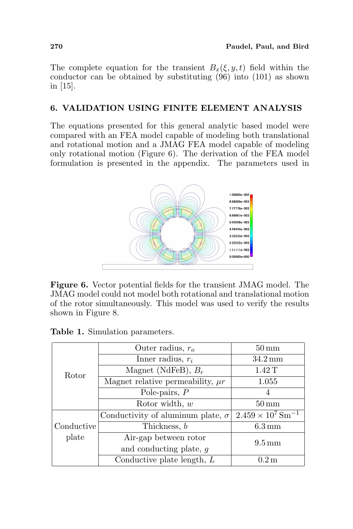The complete equation for the transient  $B_x(\xi, y, t)$  field within the conductor can be obtained by substituting (96) into (101) as shown in [15].

# 6. VALIDATION USING FINITE ELEMENT ANALYSIS

The equations presented for this general analytic based model were compared with an FEA model capable of modeling both translational and rotational motion and a JMAG FEA model capable of modeling only rotational motion (Figure 6). The derivation of the FEA model formulation is presented in the appendix. The parameters used in



Figure 6. Vector potential fields for the transient JMAG model. The JMAG model could not model both rotational and translational motion of the rotor simultaneously. This model was used to verify the results shown in Figure 8.

Table 1. Simulation parameters.

| Rotor      | Outer radius, $r_o$                      | $50 \,\mathrm{mm}$                   |
|------------|------------------------------------------|--------------------------------------|
|            | Inner radius, $r_i$                      | $34.2 \,\mathrm{mm}$                 |
|            | Magnet (NdFeB), $B_r$                    | 1.42T                                |
|            | Magnet relative permeability, $\mu r$    | 1.055                                |
|            | Pole-pairs, $P$                          |                                      |
|            | Rotor width, $w$                         | $50 \,\mathrm{mm}$                   |
|            | Conductivity of aluminum plate, $\sigma$ | $2.459 \times 10^7$ Sm <sup>-1</sup> |
| Conductive | Thickness, b                             | $6.3 \,\mathrm{mm}$                  |
| plate      | Air-gap between rotor                    | $9.5 \,\mathrm{mm}$                  |
|            | and conducting plate, g                  |                                      |
|            | Conductive plate length, $L$             | 0.2 <sub>m</sub>                     |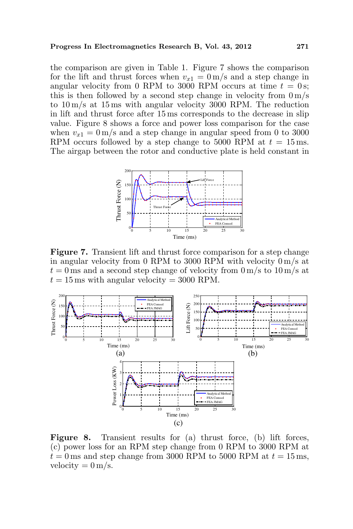the comparison are given in Table 1. Figure 7 shows the comparison for the lift and thrust forces when  $v_{x1} = 0$  m/s and a step change in angular velocity from 0 RPM to 3000 RPM occurs at time  $t = 0$  s; this is then followed by a second step change in velocity from  $0 \,\mathrm{m/s}$ to 10 m/s at 15 ms with angular velocity 3000 RPM. The reduction in lift and thrust force after 15 ms corresponds to the decrease in slip value. Figure 8 shows a force and power loss comparison for the case when  $v_{x1} = 0$  m/s and a step change in angular speed from 0 to 3000 RPM occurs followed by a step change to 5000 RPM at  $t = 15$  ms. The airgap between the rotor and conductive plate is held constant in



Figure 7. Transient lift and thrust force comparison for a step change in angular velocity from 0 RPM to 3000 RPM with velocity 0 m/s at  $t = 0$  ms and a second step change of velocity from  $0 \text{ m/s}$  to  $10 \text{ m/s}$  at  $t = 15$  ms with angular velocity = 3000 RPM.



Figure 8. Transient results for (a) thrust force, (b) lift forces, (c) power loss for an RPM step change from 0 RPM to 3000 RPM at  $t = 0$  ms and step change from 3000 RPM to 5000 RPM at  $t = 15$  ms, velocity  $= 0 \,\mathrm{m/s}$ .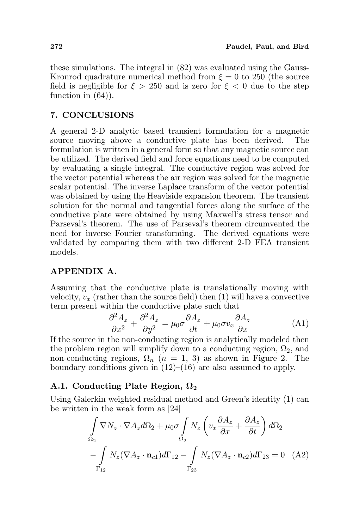these simulations. The integral in (82) was evaluated using the Gauss-Kronrod quadrature numerical method from  $\xi = 0$  to 250 (the source field is negligible for  $\xi > 250$  and is zero for  $\xi < 0$  due to the step function in  $(64)$ ).

# 7. CONCLUSIONS

A general 2-D analytic based transient formulation for a magnetic source moving above a conductive plate has been derived. The formulation is written in a general form so that any magnetic source can be utilized. The derived field and force equations need to be computed by evaluating a single integral. The conductive region was solved for the vector potential whereas the air region was solved for the magnetic scalar potential. The inverse Laplace transform of the vector potential was obtained by using the Heaviside expansion theorem. The transient solution for the normal and tangential forces along the surface of the conductive plate were obtained by using Maxwell's stress tensor and Parseval's theorem. The use of Parseval's theorem circumvented the need for inverse Fourier transforming. The derived equations were validated by comparing them with two different 2-D FEA transient models.

# APPENDIX A.

Assuming that the conductive plate is translationally moving with velocity,  $v_x$  (rather than the source field) then (1) will have a convective term present within the conductive plate such that

$$
\frac{\partial^2 A_z}{\partial x^2} + \frac{\partial^2 A_z}{\partial y^2} = \mu_0 \sigma \frac{\partial A_z}{\partial t} + \mu_0 \sigma v_x \frac{\partial A_z}{\partial x}
$$
 (A1)

If the source in the non-conducting region is analytically modeled then the problem region will simplify down to a conducting region,  $\Omega_2$ , and non-conducting regions,  $\Omega_n$  ( $n = 1, 3$ ) as shown in Figure 2. The boundary conditions given in  $(12)$ – $(16)$  are also assumed to apply.

# A.1. Conducting Plate Region,  $\Omega_2$

Using Galerkin weighted residual method and Green's identity (1) can be written in the weak form as  $[24]$  $\overline{a}$ 

$$
\int_{\Omega_2} \nabla N_z \cdot \nabla A_z d\Omega_2 + \mu_0 \sigma \int_{\Omega_2} N_z \left( v_x \frac{\partial A_z}{\partial x} + \frac{\partial A_z}{\partial t} \right) d\Omega_2
$$

$$
- \int_{\Gamma_{12}} N_z (\nabla A_z \cdot \mathbf{n}_{c1}) d\Gamma_{12} - \int_{\Gamma_{23}} N_z (\nabla A_z \cdot \mathbf{n}_{c2}) d\Gamma_{23} = 0 \quad (A2)
$$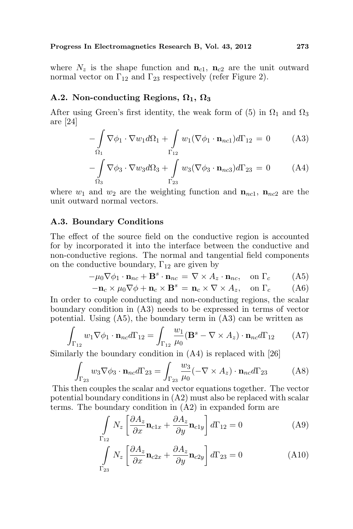where  $N_z$  is the shape function and  $n_{c1}$ ,  $n_{c2}$  are the unit outward normal vector on  $\Gamma_{12}$  and  $\Gamma_{23}$  respectively (refer Figure 2).

## A.2. Non-conducting Regions,  $\Omega_1$ ,  $\Omega_3$

After using Green's first identity, the weak form of (5) in  $\Omega_1$  and  $\Omega_3$ are [24]

$$
-\int_{\Omega_1} \nabla \phi_1 \cdot \nabla w_1 d\Omega_1 + \int_{\Gamma_{12}} w_1 (\nabla \phi_1 \cdot \mathbf{n}_{nc1}) d\Gamma_{12} = 0 \tag{A3}
$$

$$
-\int_{\Omega_3} \nabla \phi_3 \cdot \nabla w_3 d\Omega_3 + \int_{\Gamma_{23}} w_3 (\nabla \phi_3 \cdot \mathbf{n}_{nc3}) d\Gamma_{23} = 0 \tag{A4}
$$

where  $w_1$  and  $w_2$  are the weighting function and  $\mathbf{n}_{nc1}$ ,  $\mathbf{n}_{nc2}$  are the unit outward normal vectors.

## A.3. Boundary Conditions

The effect of the source field on the conductive region is accounted for by incorporated it into the interface between the conductive and non-conductive regions. The normal and tangential field components on the conductive boundary,  $\Gamma_{12}$  are given by

$$
-\mu_0 \nabla \phi_1 \cdot \mathbf{n}_{nc} + \mathbf{B}^s \cdot \mathbf{n}_{nc} = \nabla \times A_z \cdot \mathbf{n}_{nc}, \text{ on } \Gamma_c \tag{A5}
$$

$$
-\mathbf{n}_c \times \mu_0 \nabla \phi + \mathbf{n}_c \times \mathbf{B}^s = \mathbf{n}_c \times \nabla \times A_z, \text{ on } \Gamma_c \quad (A6)
$$

In order to couple conducting and non-conducting regions, the scalar boundary condition in (A3) needs to be expressed in terms of vector potential. Using  $(A5)$ , the boundary term in  $(A3)$  can be written as

$$
\int_{\Gamma_{12}} w_1 \nabla \phi_1 \cdot \mathbf{n}_{nc} d\Gamma_{12} = \int_{\Gamma_{12}} \frac{w_1}{\mu_0} (\mathbf{B}^s - \nabla \times A_z) \cdot \mathbf{n}_{nc} d\Gamma_{12} \qquad (A7)
$$

Similarly the boundary condition in  $(A4)$  is replaced with [26]

$$
\int_{\Gamma_{23}} w_3 \nabla \phi_3 \cdot \mathbf{n}_{nc} d\Gamma_{23} = \int_{\Gamma_{23}} \frac{w_3}{\mu_0} (-\nabla \times A_z) \cdot \mathbf{n}_{nc} d\Gamma_{23} \tag{A8}
$$

This then couples the scalar and vector equations together. The vector potential boundary conditions in (A2) must also be replaced with scalar terms. The boundary condition in (A2) in expanded form are

$$
\int_{\Gamma_{12}} N_z \left[ \frac{\partial A_z}{\partial x} \mathbf{n}_{c1x} + \frac{\partial A_z}{\partial y} \mathbf{n}_{c1y} \right] d\Gamma_{12} = 0
$$
 (A9)

$$
\int_{\Gamma_{23}} N_z \left[ \frac{\partial A_z}{\partial x} \mathbf{n}_{c2x} + \frac{\partial A_z}{\partial y} \mathbf{n}_{c2y} \right] d\Gamma_{23} = 0 \tag{A10}
$$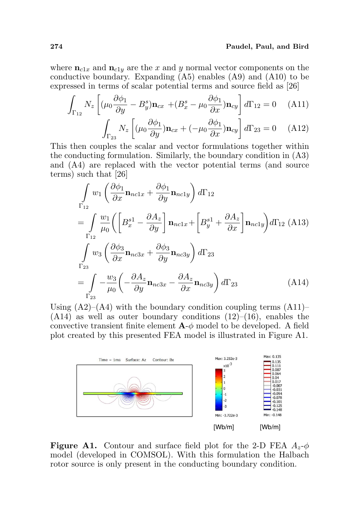where  $n_{c1x}$  and  $n_{c1y}$  are the x and y normal vector components on the conductive boundary. Expanding (A5) enables (A9) and (A10) to be expressed in terms of scalar potential terms and source field as [26]

$$
\int_{\Gamma_{12}} N_z \left[ (\mu_0 \frac{\partial \phi_1}{\partial y} - B_y^s) \mathbf{n}_{cx} + (B_x^s - \mu_0 \frac{\partial \phi_1}{\partial x}) \mathbf{n}_{cy} \right] d\Gamma_{12} = 0 \quad (A11)
$$

$$
\int_{\Gamma_{23}} N_z \left[ (\mu_0 \frac{\partial \phi_1}{\partial y}) \mathbf{n}_{cx} + (-\mu_0 \frac{\partial \phi_1}{\partial x}) \mathbf{n}_{cy} \right] d\Gamma_{23} = 0 \quad (A12)
$$

This then couples the scalar and vector formulations together within the conducting formulation. Similarly, the boundary condition in (A3) and (A4) are replaced with the vector potential terms (and source terms) such that  $[26]$ 

$$
\int_{\Gamma_{12}} w_1 \left( \frac{\partial \phi_1}{\partial x} \mathbf{n}_{nclx} + \frac{\partial \phi_1}{\partial y} \mathbf{n}_{ncly} \right) d\Gamma_{12}
$$
\n
$$
= \int_{\Gamma_{12}} \frac{w_1}{\mu_0} \left( \left[ B_x^{s1} - \frac{\partial A_z}{\partial y} \right] \mathbf{n}_{nclx} + \left[ B_y^{s1} + \frac{\partial A_z}{\partial x} \right] \mathbf{n}_{ncly} \right) d\Gamma_{12} \text{ (A13)}
$$
\n
$$
\int_{\Gamma_{23}} w_3 \left( \frac{\partial \phi_3}{\partial x} \mathbf{n}_{nc3x} + \frac{\partial \phi_3}{\partial y} \mathbf{n}_{nc3y} \right) d\Gamma_{23}
$$
\n
$$
= \int_{\Gamma_{23}} -\frac{w_3}{\mu_0} \left( -\frac{\partial A_z}{\partial y} \mathbf{n}_{nc3x} - \frac{\partial A_z}{\partial x} \mathbf{n}_{nc3y} \right) d\Gamma_{23} \qquad (A14)
$$

Using  $(A2)$ – $(A4)$  with the boundary condition coupling terms  $(A11)$ –  $(A14)$  as well as outer boundary conditions  $(12)–(16)$ , enables the convective transient finite element  $\mathbf{A}\text{-}\phi$  model to be developed. A field plot created by this presented FEA model is illustrated in Figure A1.



**Figure A1.** Contour and surface field plot for the 2-D FEA  $A_z$ - $\phi$ model (developed in COMSOL). With this formulation the Halbach rotor source is only present in the conducting boundary condition.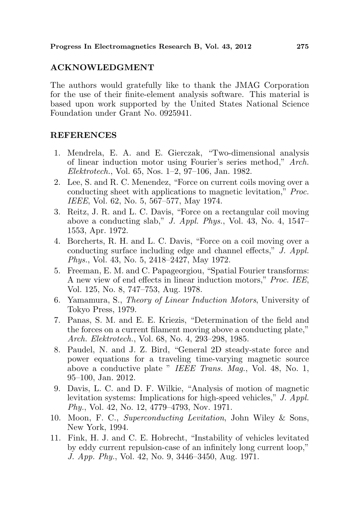## ACKNOWLEDGMENT

The authors would gratefully like to thank the JMAG Corporation for the use of their finite-element analysis software. This material is based upon work supported by the United States National Science Foundation under Grant No. 0925941.

## **REFERENCES**

- 1. Mendrela, E. A. and E. Gierczak, "Two-dimensional analysis of linear induction motor using Fourier's series method," Arch. Elektrotech., Vol. 65, Nos. 1–2, 97–106, Jan. 1982.
- 2. Lee, S. and R. C. Menendez, "Force on current coils moving over a conducting sheet with applications to magnetic levitation," Proc. IEEE, Vol. 62, No. 5, 567–577, May 1974.
- 3. Reitz, J. R. and L. C. Davis, "Force on a rectangular coil moving above a conducting slab," J. Appl. Phys., Vol. 43, No. 4, 1547– 1553, Apr. 1972.
- 4. Borcherts, R. H. and L. C. Davis, "Force on a coil moving over a conducting surface including edge and channel effects," J. Appl. Phys., Vol. 43, No. 5, 2418–2427, May 1972.
- 5. Freeman, E. M. and C. Papageorgiou, "Spatial Fourier transforms: A new view of end effects in linear induction motors," Proc. IEE, Vol. 125, No. 8, 747–753, Aug. 1978.
- 6. Yamamura, S., Theory of Linear Induction Motors, University of Tokyo Press, 1979.
- 7. Panas, S. M. and E. E. Kriezis, "Determination of the field and the forces on a current filament moving above a conducting plate," Arch. Elektrotech., Vol. 68, No. 4, 293–298, 1985.
- 8. Paudel, N. and J. Z. Bird, "General 2D steady-state force and power equations for a traveling time-varying magnetic source above a conductive plate " IEEE Trans. Mag., Vol. 48, No. 1, 95–100, Jan. 2012.
- 9. Davis, L. C. and D. F. Wilkie, "Analysis of motion of magnetic levitation systems: Implications for high-speed vehicles," J. Appl. Phy., Vol. 42, No. 12, 4779–4793, Nov. 1971.
- 10. Moon, F. C., Superconducting Levitation, John Wiley & Sons, New York, 1994.
- 11. Fink, H. J. and C. E. Hobrecht, "Instability of vehicles levitated by eddy current repulsion-case of an infinitely long current loop," J. App. Phy., Vol. 42, No. 9, 3446–3450, Aug. 1971.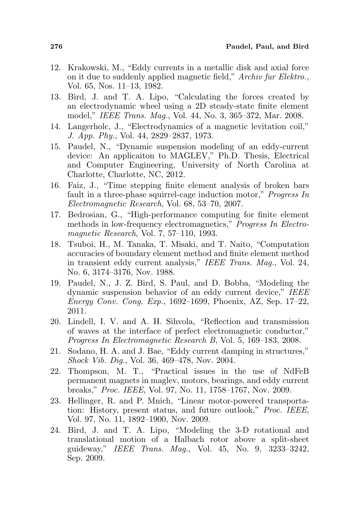- 12. Krakowski, M., "Eddy currents in a metallic disk and axial force on it due to suddenly applied magnetic field," Archiv fur Elektro., Vol. 65, Nos. 11–13, 1982.
- 13. Bird, J. and T. A. Lipo, "Calculating the forces created by an electrodynamic wheel using a 2D steady-state finite element model," IEEE Trans. Mag., Vol. 44, No. 3, 365–372, Mar. 2008.
- 14. Langerholc, J., "Electrodynamics of a magnetic levitation coil," J. App. Phy., Vol. 44, 2829–2837, 1973.
- 15. Paudel, N., "Dynamic suspension modeling of an eddy-current device: An applicaiton to MAGLEV," Ph.D. Thesis, Electrical and Computer Engineering, University of North Carolina at Charlotte, Charlotte, NC, 2012.
- 16. Faiz, J., "Time stepping finite element analysis of broken bars fault in a three-phase squirrel-cage induction motor," Progress In Electromagnetic Research, Vol. 68, 53–70, 2007.
- 17. Bedrosian, G., "High-performance computing for finite element methods in low-frequency electromagnetics," Progress In Electromagnetic Research, Vol. 7, 57–110, 1993.
- 18. Tsuboi, H., M. Tanaka, T. Misaki, and T. Naito, "Computation accuracies of boundary element method and finite element method in transient eddy current analysis," IEEE Trans. Mag., Vol. 24, No. 6, 3174–3176, Nov. 1988.
- 19. Paudel, N., J. Z. Bird, S. Paul, and D. Bobba, "Modeling the dynamic suspension behavior of an eddy current device," IEEE Energy Conv. Cong. Exp., 1692–1699, Phoenix, AZ, Sep. 17–22, 2011.
- 20. Lindell, I. V. and A. H. Sihvola, "Reflection and transmission of waves at the interface of perfect electromagnetic conductor," Progress In Electromagnetic Research B, Vol. 5, 169–183, 2008.
- 21. Sodano, H. A. and J. Bae, "Eddy current damping in structures," Shock Vib. Dig., Vol. 36, 469–478, Nov. 2004.
- 22. Thompson, M. T., "Practical issues in the use of NdFeB permanent magnets in maglev, motors, bearings, and eddy current breaks," Proc. IEEE, Vol. 97, No. 11, 1758–1767, Nov. 2009.
- 23. Hellinger, R. and P. Mnich, "Linear motor-powered transportation: History, present status, and future outlook," Proc. IEEE, Vol. 97, No. 11, 1892–1900, Nov. 2009.
- 24. Bird, J. and T. A. Lipo, "Modeling the 3-D rotational and translational motion of a Halbach rotor above a split-sheet guideway," IEEE Trans. Mag., Vol. 45, No. 9, 3233–3242, Sep. 2009.